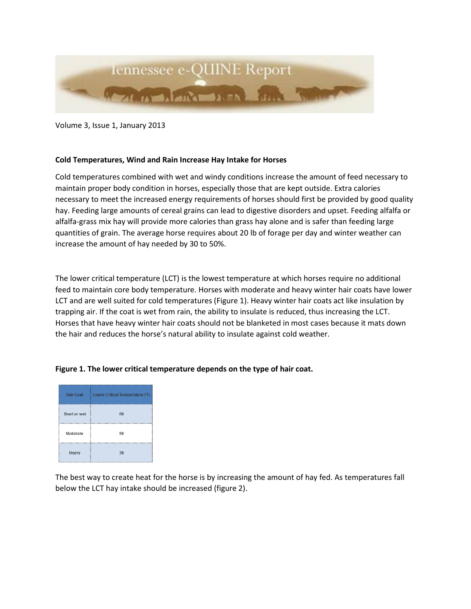

Volume 3, Issue 1, January 2013

## **Cold Temperatures, Wind and Rain Increase Hay Intake for Horses**

Cold temperatures combined with wet and windy conditions increase the amount of feed necessary to maintain proper body condition in horses, especially those that are kept outside. Extra calories necessary to meet the increased energy requirements of horses should first be provided by good quality hay. Feeding large amounts of cereal grains can lead to digestive disorders and upset. Feeding alfalfa or alfalfa-grass mix hay will provide more calories than grass hay alone and is safer than feeding large quantities of grain. The average horse requires about 20 lb of forage per day and winter weather can increase the amount of hay needed by 30 to 50%.

The lower critical temperature (LCT) is the lowest temperature at which horses require no additional feed to maintain core body temperature. Horses with moderate and heavy winter hair coats have lower LCT and are well suited for cold temperatures (Figure 1). Heavy winter hair coats act like insulation by trapping air. If the coat is wet from rain, the ability to insulate is reduced, thus increasing the LCT. Horses that have heavy winter hair coats should not be blanketed in most cases because it mats down the hair and reduces the horse's natural ability to insulate against cold weather.

|                 | Hair Coat : Lower Critical Temperature (°F) |
|-----------------|---------------------------------------------|
| Short or wet    | 60                                          |
| <b>Moderate</b> | 50                                          |

 $30<sup>°</sup>$ 

Heavy

## **Figure 1. The lower critical temperature depends on the type of hair coat.**

The best way to create heat for the horse is by increasing the amount of hay fed. As temperatures fall below the LCT hay intake should be increased (figure 2).